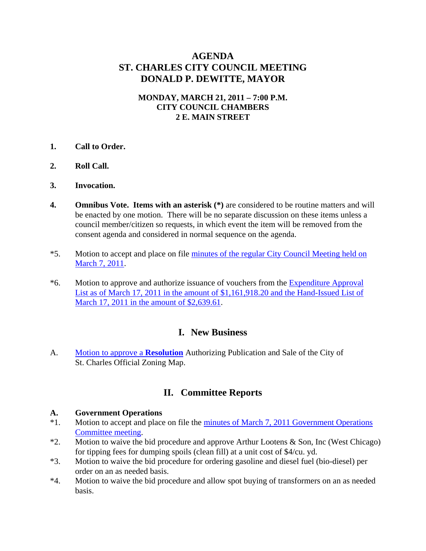# **AGENDA ST. CHARLES CITY COUNCIL MEETING DONALD P. DEWITTE, MAYOR**

### **MONDAY, MARCH 21, 2011 – 7:00 P.M. CITY COUNCIL CHAMBERS 2 E. MAIN STREET**

- **1. Call to Order.**
- **2. Roll Call.**
- **3. Invocation.**
- **4.** Omnibus Vote. Items with an asterisk  $(*)$  are considered to be routine matters and will be enacted by one motion. There will be no separate discussion on these items unless a council member/citizen so requests, in which event the item will be removed from the consent agenda and considered in normal sequence on the agenda.
- \*5. Motion to accept and place on file [minutes of the regular City Council Meeting held on](http://stcharlesil.gov/meetings/2011/attachments/a03-21-11-cc-m03-07-11-cc.pdf)  [March 7, 2011](http://stcharlesil.gov/meetings/2011/attachments/a03-21-11-cc-m03-07-11-cc.pdf).
- \*6. Motion to approve and authorize issuance of vouchers from the [Expenditure Approval](http://stcharlesil.gov/meetings/2011/attachments/a03-21-11-cc-EXPEND.pdf)  [List as of March 17, 2011 in the amount of \\$1,161,918.20 and the Hand-Issued List of](http://stcharlesil.gov/meetings/2011/attachments/a03-21-11-cc-EXPEND.pdf)  [March 17, 2011 in the amount of \\$2,639.61](http://stcharlesil.gov/meetings/2011/attachments/a03-21-11-cc-EXPEND.pdf).

## **I. New Business**

A. [Motion to approve a](http://stcharlesil.gov/meetings/2011/attachments/a03-21-11-cc-IA.pdf) **Resolution** Authorizing Publication and Sale of the City of St. Charles Official Zoning Map.

## **II. Committee Reports**

#### **A. Government Operations**

- \*1. Motion to accept and place on file the [minutes of March 7, 2011 Government Operations](http://stcharlesil.gov/meetings/2011/attachments/a03-21-11-cc-IIA1.pdf)  [Committee meeting.](http://stcharlesil.gov/meetings/2011/attachments/a03-21-11-cc-IIA1.pdf)
- \*2. Motion to waive the bid procedure and approve Arthur Lootens & Son, Inc (West Chicago) for tipping fees for dumping spoils (clean fill) at a unit cost of \$4/cu. yd.
- \*3. Motion to waive the bid procedure for ordering gasoline and diesel fuel (bio-diesel) per order on an as needed basis.
- \*4. Motion to waive the bid procedure and allow spot buying of transformers on an as needed basis.